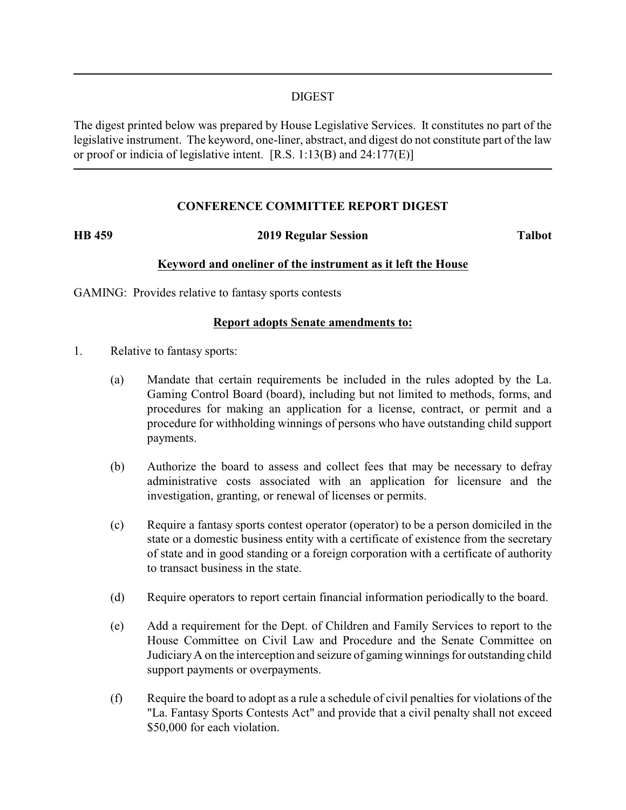#### DIGEST

The digest printed below was prepared by House Legislative Services. It constitutes no part of the legislative instrument. The keyword, one-liner, abstract, and digest do not constitute part of the law or proof or indicia of legislative intent. [R.S. 1:13(B) and 24:177(E)]

## **CONFERENCE COMMITTEE REPORT DIGEST**

#### **HB 459 2019 Regular Session Talbot**

## **Keyword and oneliner of the instrument as it left the House**

GAMING: Provides relative to fantasy sports contests

#### **Report adopts Senate amendments to:**

- 1. Relative to fantasy sports:
	- (a) Mandate that certain requirements be included in the rules adopted by the La. Gaming Control Board (board), including but not limited to methods, forms, and procedures for making an application for a license, contract, or permit and a procedure for withholding winnings of persons who have outstanding child support payments.
	- (b) Authorize the board to assess and collect fees that may be necessary to defray administrative costs associated with an application for licensure and the investigation, granting, or renewal of licenses or permits.
	- (c) Require a fantasy sports contest operator (operator) to be a person domiciled in the state or a domestic business entity with a certificate of existence from the secretary of state and in good standing or a foreign corporation with a certificate of authority to transact business in the state.
	- (d) Require operators to report certain financial information periodically to the board.
	- (e) Add a requirement for the Dept. of Children and Family Services to report to the House Committee on Civil Law and Procedure and the Senate Committee on JudiciaryA on the interception and seizure of gaming winnings for outstanding child support payments or overpayments.
	- (f) Require the board to adopt as a rule a schedule of civil penalties for violations of the "La. Fantasy Sports Contests Act" and provide that a civil penalty shall not exceed \$50,000 for each violation.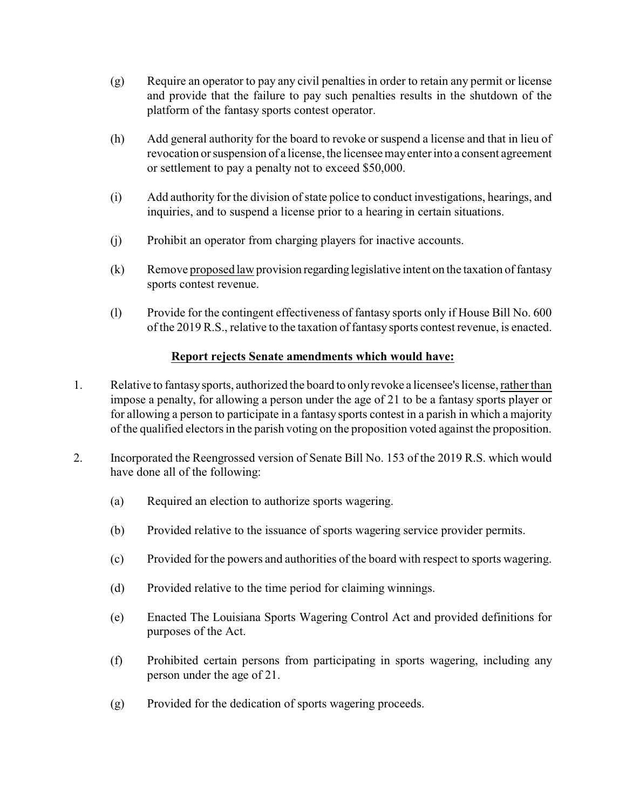- (g) Require an operator to pay any civil penalties in order to retain any permit or license and provide that the failure to pay such penalties results in the shutdown of the platform of the fantasy sports contest operator.
- (h) Add general authority for the board to revoke or suspend a license and that in lieu of revocation or suspension of a license, the licensee mayenter into a consent agreement or settlement to pay a penalty not to exceed \$50,000.
- (i) Add authority for the division of state police to conduct investigations, hearings, and inquiries, and to suspend a license prior to a hearing in certain situations.
- (j) Prohibit an operator from charging players for inactive accounts.
- (k) Remove proposed law provision regarding legislative intent on the taxation of fantasy sports contest revenue.
- (l) Provide for the contingent effectiveness of fantasy sports only if House Bill No. 600 of the 2019 R.S., relative to the taxation of fantasy sports contest revenue, is enacted.

# **Report rejects Senate amendments which would have:**

- 1. Relative to fantasysports, authorized the board to onlyrevoke a licensee's license, rather than impose a penalty, for allowing a person under the age of 21 to be a fantasy sports player or for allowing a person to participate in a fantasy sports contest in a parish in which a majority of the qualified electors in the parish voting on the proposition voted against the proposition.
- 2. Incorporated the Reengrossed version of Senate Bill No. 153 of the 2019 R.S. which would have done all of the following:
	- (a) Required an election to authorize sports wagering.
	- (b) Provided relative to the issuance of sports wagering service provider permits.
	- (c) Provided for the powers and authorities of the board with respect to sports wagering.
	- (d) Provided relative to the time period for claiming winnings.
	- (e) Enacted The Louisiana Sports Wagering Control Act and provided definitions for purposes of the Act.
	- (f) Prohibited certain persons from participating in sports wagering, including any person under the age of 21.
	- (g) Provided for the dedication of sports wagering proceeds.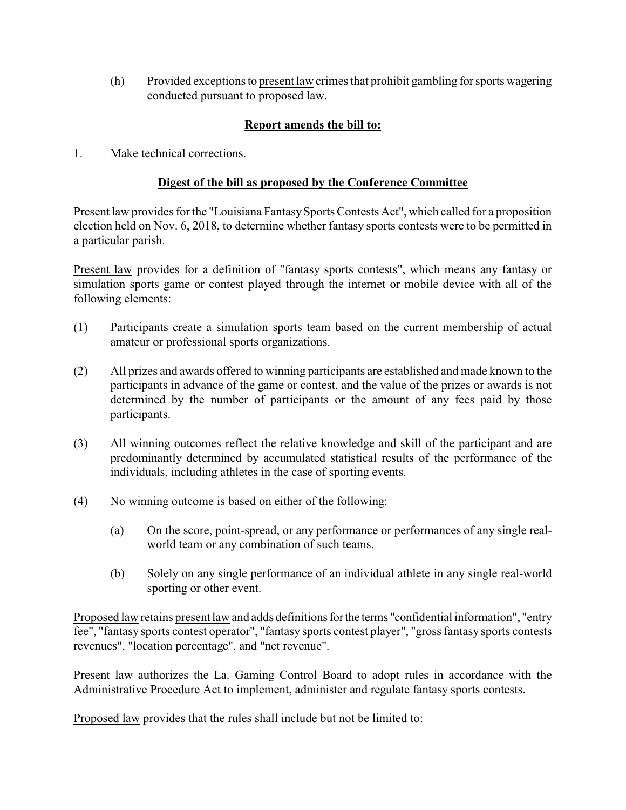(h) Provided exceptions to present law crimes that prohibit gambling for sports wagering conducted pursuant to proposed law.

# **Report amends the bill to:**

1. Make technical corrections.

## **Digest of the bill as proposed by the Conference Committee**

Present law provides for the "Louisiana Fantasy Sports Contests Act", which called for a proposition election held on Nov. 6, 2018, to determine whether fantasy sports contests were to be permitted in a particular parish.

Present law provides for a definition of "fantasy sports contests", which means any fantasy or simulation sports game or contest played through the internet or mobile device with all of the following elements:

- (1) Participants create a simulation sports team based on the current membership of actual amateur or professional sports organizations.
- (2) All prizes and awards offered to winning participants are established and made known to the participants in advance of the game or contest, and the value of the prizes or awards is not determined by the number of participants or the amount of any fees paid by those participants.
- (3) All winning outcomes reflect the relative knowledge and skill of the participant and are predominantly determined by accumulated statistical results of the performance of the individuals, including athletes in the case of sporting events.
- (4) No winning outcome is based on either of the following:
	- (a) On the score, point-spread, or any performance or performances of any single realworld team or any combination of such teams.
	- (b) Solely on any single performance of an individual athlete in any single real-world sporting or other event.

Proposed law retains present law and adds definitions for the terms "confidential information", "entry fee", "fantasy sports contest operator", "fantasy sports contest player", "gross fantasy sports contests revenues", "location percentage", and "net revenue".

Present law authorizes the La. Gaming Control Board to adopt rules in accordance with the Administrative Procedure Act to implement, administer and regulate fantasy sports contests.

Proposed law provides that the rules shall include but not be limited to: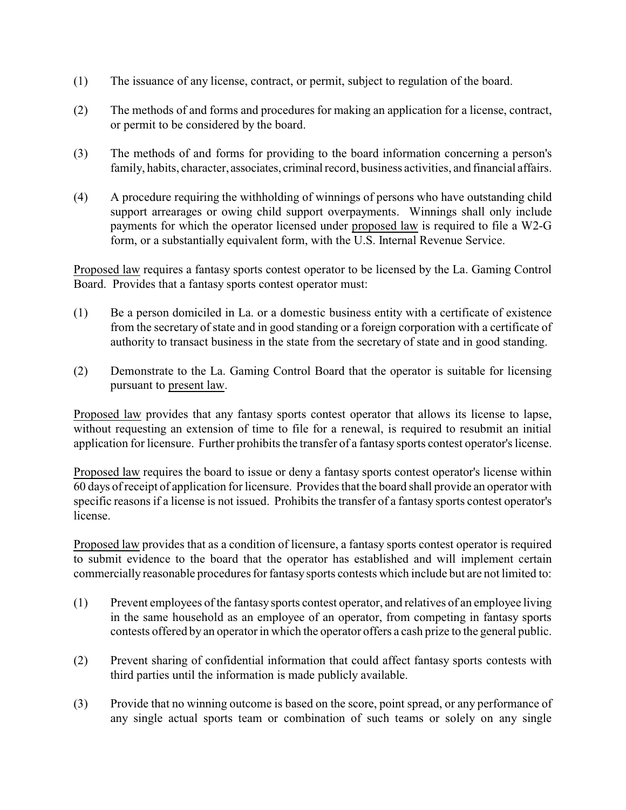- (1) The issuance of any license, contract, or permit, subject to regulation of the board.
- (2) The methods of and forms and procedures for making an application for a license, contract, or permit to be considered by the board.
- (3) The methods of and forms for providing to the board information concerning a person's family, habits, character, associates, criminal record, business activities, and financial affairs.
- (4) A procedure requiring the withholding of winnings of persons who have outstanding child support arrearages or owing child support overpayments. Winnings shall only include payments for which the operator licensed under proposed law is required to file a W2-G form, or a substantially equivalent form, with the U.S. Internal Revenue Service.

Proposed law requires a fantasy sports contest operator to be licensed by the La. Gaming Control Board. Provides that a fantasy sports contest operator must:

- (1) Be a person domiciled in La. or a domestic business entity with a certificate of existence from the secretary of state and in good standing or a foreign corporation with a certificate of authority to transact business in the state from the secretary of state and in good standing.
- (2) Demonstrate to the La. Gaming Control Board that the operator is suitable for licensing pursuant to present law.

Proposed law provides that any fantasy sports contest operator that allows its license to lapse, without requesting an extension of time to file for a renewal, is required to resubmit an initial application for licensure. Further prohibits the transfer of a fantasy sports contest operator's license.

Proposed law requires the board to issue or deny a fantasy sports contest operator's license within 60 days of receipt of application for licensure. Provides that the board shall provide an operator with specific reasons if a license is not issued. Prohibits the transfer of a fantasy sports contest operator's license.

Proposed law provides that as a condition of licensure, a fantasy sports contest operator is required to submit evidence to the board that the operator has established and will implement certain commercially reasonable procedures for fantasy sports contests which include but are not limited to:

- (1) Prevent employees of the fantasy sports contest operator, and relatives of an employee living in the same household as an employee of an operator, from competing in fantasy sports contests offered by an operator in which the operator offers a cash prize to the general public.
- (2) Prevent sharing of confidential information that could affect fantasy sports contests with third parties until the information is made publicly available.
- (3) Provide that no winning outcome is based on the score, point spread, or any performance of any single actual sports team or combination of such teams or solely on any single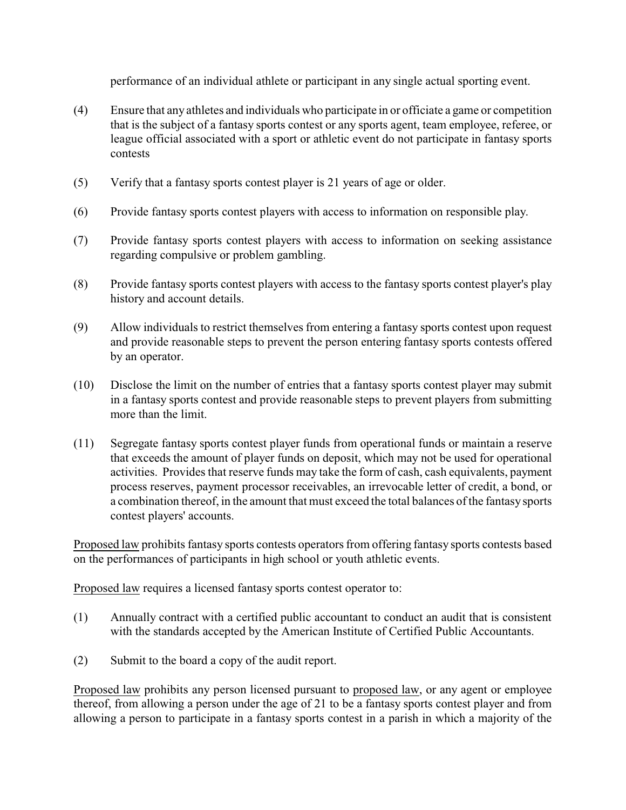performance of an individual athlete or participant in any single actual sporting event.

- (4) Ensure that any athletes and individuals who participate in or officiate a game or competition that is the subject of a fantasy sports contest or any sports agent, team employee, referee, or league official associated with a sport or athletic event do not participate in fantasy sports contests
- (5) Verify that a fantasy sports contest player is 21 years of age or older.
- (6) Provide fantasy sports contest players with access to information on responsible play.
- (7) Provide fantasy sports contest players with access to information on seeking assistance regarding compulsive or problem gambling.
- (8) Provide fantasy sports contest players with access to the fantasy sports contest player's play history and account details.
- (9) Allow individuals to restrict themselves from entering a fantasy sports contest upon request and provide reasonable steps to prevent the person entering fantasy sports contests offered by an operator.
- (10) Disclose the limit on the number of entries that a fantasy sports contest player may submit in a fantasy sports contest and provide reasonable steps to prevent players from submitting more than the limit.
- (11) Segregate fantasy sports contest player funds from operational funds or maintain a reserve that exceeds the amount of player funds on deposit, which may not be used for operational activities. Provides that reserve funds may take the form of cash, cash equivalents, payment process reserves, payment processor receivables, an irrevocable letter of credit, a bond, or a combination thereof, in the amount that must exceed the total balances of the fantasy sports contest players' accounts.

Proposed law prohibits fantasy sports contests operators from offering fantasy sports contests based on the performances of participants in high school or youth athletic events.

Proposed law requires a licensed fantasy sports contest operator to:

- (1) Annually contract with a certified public accountant to conduct an audit that is consistent with the standards accepted by the American Institute of Certified Public Accountants.
- (2) Submit to the board a copy of the audit report.

Proposed law prohibits any person licensed pursuant to proposed law, or any agent or employee thereof, from allowing a person under the age of 21 to be a fantasy sports contest player and from allowing a person to participate in a fantasy sports contest in a parish in which a majority of the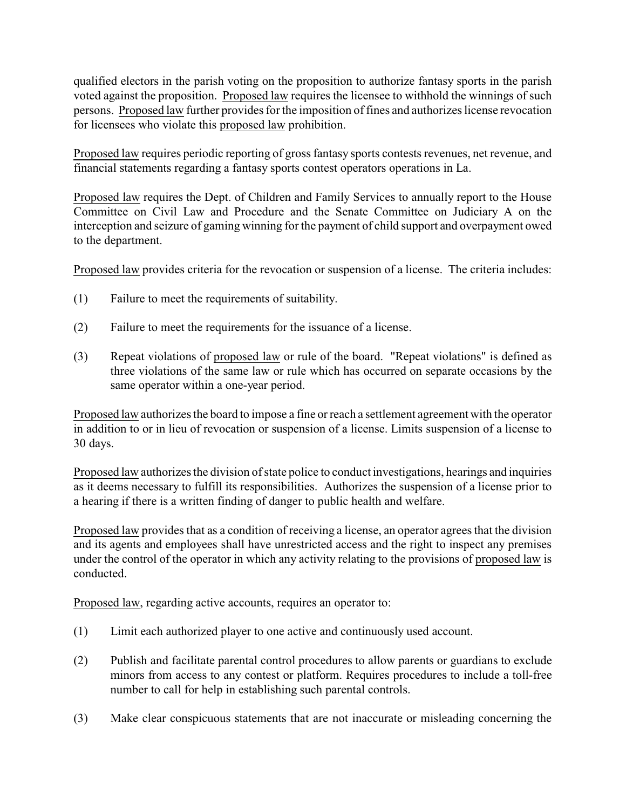qualified electors in the parish voting on the proposition to authorize fantasy sports in the parish voted against the proposition. Proposed law requires the licensee to withhold the winnings of such persons. Proposed law further provides for the imposition of fines and authorizes license revocation for licensees who violate this proposed law prohibition.

Proposed law requires periodic reporting of gross fantasy sports contests revenues, net revenue, and financial statements regarding a fantasy sports contest operators operations in La.

Proposed law requires the Dept. of Children and Family Services to annually report to the House Committee on Civil Law and Procedure and the Senate Committee on Judiciary A on the interception and seizure of gaming winning for the payment of child support and overpayment owed to the department.

Proposed law provides criteria for the revocation or suspension of a license. The criteria includes:

- (1) Failure to meet the requirements of suitability.
- (2) Failure to meet the requirements for the issuance of a license.
- (3) Repeat violations of proposed law or rule of the board. "Repeat violations" is defined as three violations of the same law or rule which has occurred on separate occasions by the same operator within a one-year period.

Proposed law authorizes the board to impose a fine or reach a settlement agreement with the operator in addition to or in lieu of revocation or suspension of a license. Limits suspension of a license to 30 days.

Proposed law authorizes the division of state police to conduct investigations, hearings and inquiries as it deems necessary to fulfill its responsibilities. Authorizes the suspension of a license prior to a hearing if there is a written finding of danger to public health and welfare.

Proposed law provides that as a condition of receiving a license, an operator agrees that the division and its agents and employees shall have unrestricted access and the right to inspect any premises under the control of the operator in which any activity relating to the provisions of proposed law is conducted.

Proposed law, regarding active accounts, requires an operator to:

- (1) Limit each authorized player to one active and continuously used account.
- (2) Publish and facilitate parental control procedures to allow parents or guardians to exclude minors from access to any contest or platform. Requires procedures to include a toll-free number to call for help in establishing such parental controls.
- (3) Make clear conspicuous statements that are not inaccurate or misleading concerning the